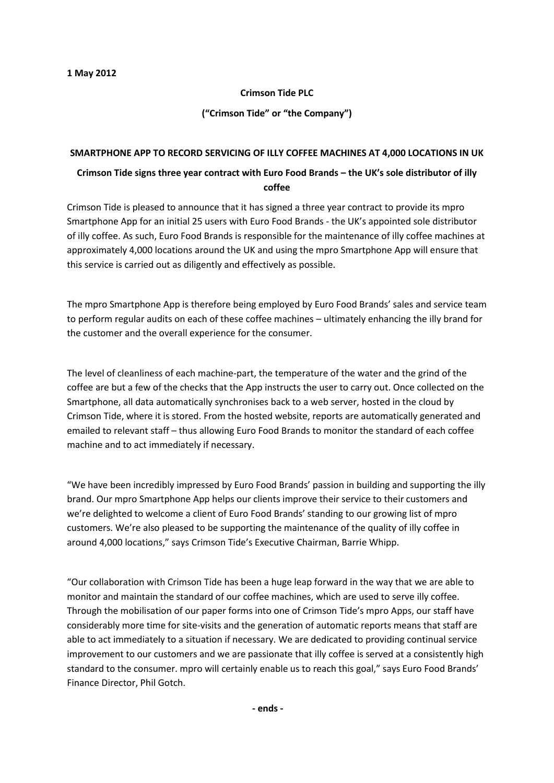## **Crimson Tide PLC**

**("Crimson Tide" or "the Company")**

## **SMARTPHONE APP TO RECORD SERVICING OF ILLY COFFEE MACHINES AT 4,000 LOCATIONS IN UK**

## **Crimson Tide signs three year contract with Euro Food Brands – the UK's sole distributor of illy coffee**

Crimson Tide is pleased to announce that it has signed a three year contract to provide its mpro Smartphone App for an initial 25 users with Euro Food Brands - the UK's appointed sole distributor of illy coffee. As such, Euro Food Brands is responsible for the maintenance of illy coffee machines at approximately 4,000 locations around the UK and using the mpro Smartphone App will ensure that this service is carried out as diligently and effectively as possible.

The mpro Smartphone App is therefore being employed by Euro Food Brands' sales and service team to perform regular audits on each of these coffee machines – ultimately enhancing the illy brand for the customer and the overall experience for the consumer.

The level of cleanliness of each machine-part, the temperature of the water and the grind of the coffee are but a few of the checks that the App instructs the user to carry out. Once collected on the Smartphone, all data automatically synchronises back to a web server, hosted in the cloud by Crimson Tide, where it is stored. From the hosted website, reports are automatically generated and emailed to relevant staff – thus allowing Euro Food Brands to monitor the standard of each coffee machine and to act immediately if necessary.

"We have been incredibly impressed by Euro Food Brands' passion in building and supporting the illy brand. Our mpro Smartphone App helps our clients improve their service to their customers and we're delighted to welcome a client of Euro Food Brands' standing to our growing list of mpro customers. We're also pleased to be supporting the maintenance of the quality of illy coffee in around 4,000 locations," says Crimson Tide's Executive Chairman, Barrie Whipp.

"Our collaboration with Crimson Tide has been a huge leap forward in the way that we are able to monitor and maintain the standard of our coffee machines, which are used to serve illy coffee. Through the mobilisation of our paper forms into one of Crimson Tide's mpro Apps, our staff have considerably more time for site-visits and the generation of automatic reports means that staff are able to act immediately to a situation if necessary. We are dedicated to providing continual service improvement to our customers and we are passionate that illy coffee is served at a consistently high standard to the consumer. mpro will certainly enable us to reach this goal," says Euro Food Brands' Finance Director, Phil Gotch.